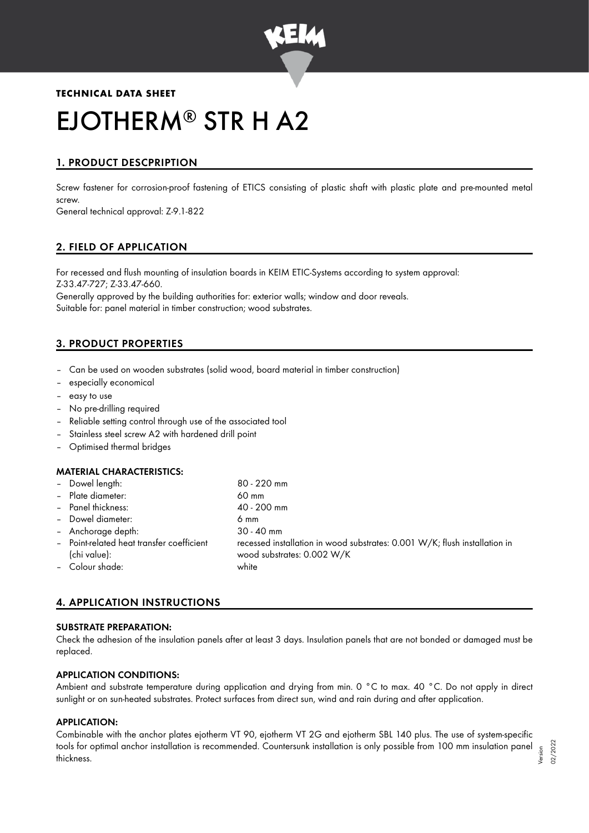

# **TECHNICAL DATA SHEET** EJOTHERM® STR H A2

## 1. PRODUCT DESCPRIPTION

Screw fastener for corrosion-proof fastening of ETICS consisting of plastic shaft with plastic plate and pre-mounted metal screw.

General technical approval: Z-9.1-822

## 2. FIELD OF APPLICATION

For recessed and flush mounting of insulation boards in KEIM ETIC-Systems according to system approval: Z-33.47-727; Z-33.47-660.

Generally approved by the building authorities for: exterior walls; window and door reveals. Suitable for: panel material in timber construction; wood substrates.

## 3. PRODUCT PROPERTIES

- Can be used on wooden substrates (solid wood, board material in timber construction)
- especially economical
- easy to use
- No pre-drilling required
- Reliable setting control through use of the associated tool
- Stainless steel screw A2 with hardened drill point
- Optimised thermal bridges

### MATERIAL CHARACTERISTICS:

| - Dowel length:<br>- Plate diameter:                      | 80 - 220 mm<br>60 mm                                                                                     |
|-----------------------------------------------------------|----------------------------------------------------------------------------------------------------------|
| - Panel thickness:                                        | 40 - 200 mm                                                                                              |
| - Dowel diameter:                                         | 6 mm                                                                                                     |
| - Anchorage depth:                                        | $30 - 40$ mm                                                                                             |
| - Point-related heat transfer coefficient<br>(chi value): | recessed installation in wood substrates: 0.001 W/K; flush installation in<br>wood substrates: 0.002 W/K |
| - Colour shade:                                           | white                                                                                                    |

## 4. APPLICATION INSTRUCTIONS

#### SUBSTRATE PREPARATION:

Check the adhesion of the insulation panels after at least 3 days. Insulation panels that are not bonded or damaged must be replaced.

#### APPLICATION CONDITIONS:

Ambient and substrate temperature during application and drying from min. 0 °C to max. 40 °C. Do not apply in direct sunlight or on sun-heated substrates. Protect surfaces from direct sun, wind and rain during and after application.

#### APPLICATION:

Combinable with the anchor plates ejotherm VT 90, ejotherm VT 2G and ejotherm SBL 140 plus. The use of system-specific tools for optimal anchor installation is recommended. Countersunk installation is only possible from 100 mm insulation panel thickness. Version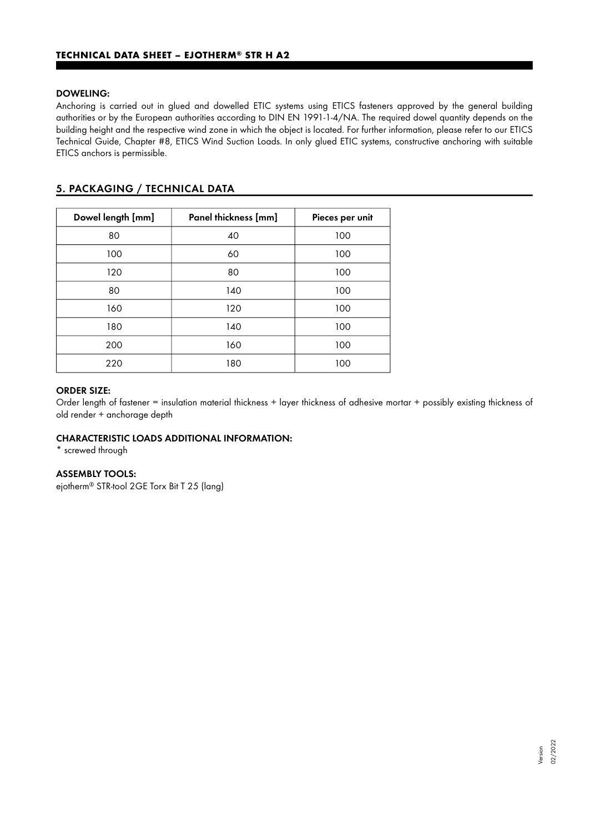#### DOWELING:

Anchoring is carried out in glued and dowelled ETIC systems using ETICS fasteners approved by the general building authorities or by the European authorities according to DIN EN 1991-1-4/NA. The required dowel quantity depends on the building height and the respective wind zone in which the object is located. For further information, please refer to our ETICS Technical Guide, Chapter #8, ETICS Wind Suction Loads. In only glued ETIC systems, constructive anchoring with suitable ETICS anchors is permissible.

## 5. PACKAGING / TECHNICAL DATA

| Dowel length [mm] | Panel thickness [mm] | Pieces per unit |
|-------------------|----------------------|-----------------|
| 80                | 40                   | 100             |
| 100               | 60                   | 100             |
| 120               | 80                   | 100             |
| 80                | 140                  | 100             |
| 160               | 120                  | 100             |
| 180               | 140                  | 100             |
| 200               | 160                  | 100             |
| 220               | 180                  | 100             |

#### ORDER SIZE:

Order length of fastener = insulation material thickness + layer thickness of adhesive mortar + possibly existing thickness of old render + anchorage depth

#### CHARACTERISTIC LOADS ADDITIONAL INFORMATION:

\* screwed through

#### ASSEMBLY TOOLS:

ejotherm<sup>®</sup> STR-tool 2GE Torx Bit T 25 (lang)